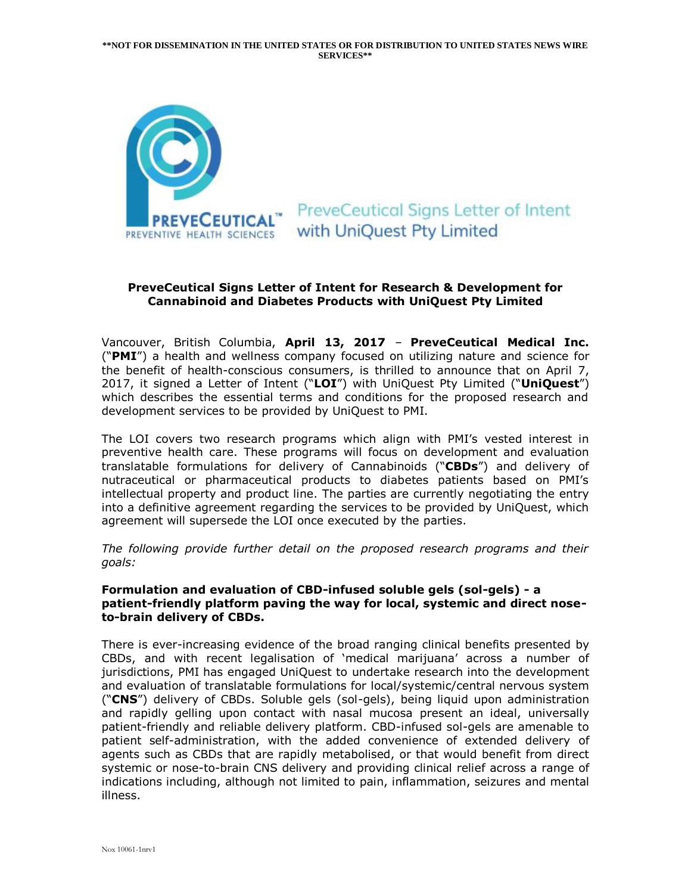

# **PreveCeutical Signs Letter of Intent** with UniOuest Pty Limited

### **PreveCeutical Signs Letter of Intent for Research & Development for Cannabinoid and Diabetes Products with UniQuest Pty Limited**

Vancouver, British Columbia, **April 13, 2017** – **PreveCeutical Medical Inc.** ("**PMI**") a health and wellness company focused on utilizing nature and science for the benefit of health-conscious consumers, is thrilled to announce that on April 7, 2017, it signed a Letter of Intent ("**LOI**") with UniQuest Pty Limited ("**UniQuest**") which describes the essential terms and conditions for the proposed research and development services to be provided by UniQuest to PMI.

The LOI covers two research programs which align with PMI's vested interest in preventive health care. These programs will focus on development and evaluation translatable formulations for delivery of Cannabinoids ("**CBDs**") and delivery of nutraceutical or pharmaceutical products to diabetes patients based on PMI's intellectual property and product line. The parties are currently negotiating the entry into a definitive agreement regarding the services to be provided by UniQuest, which agreement will supersede the LOI once executed by the parties.

*The following provide further detail on the proposed research programs and their goals:*

#### **Formulation and evaluation of CBD-infused soluble gels (sol-gels) - a patient-friendly platform paving the way for local, systemic and direct noseto-brain delivery of CBDs.**

There is ever-increasing evidence of the broad ranging clinical benefits presented by CBDs, and with recent legalisation of 'medical marijuana' across a number of jurisdictions, PMI has engaged UniQuest to undertake research into the development and evaluation of translatable formulations for local/systemic/central nervous system ("**CNS**") delivery of CBDs. Soluble gels (sol-gels), being liquid upon administration and rapidly gelling upon contact with nasal mucosa present an ideal, universally patient-friendly and reliable delivery platform. CBD-infused sol-gels are amenable to patient self-administration, with the added convenience of extended delivery of agents such as CBDs that are rapidly metabolised, or that would benefit from direct systemic or nose-to-brain CNS delivery and providing clinical relief across a range of indications including, although not limited to pain, inflammation, seizures and mental illness.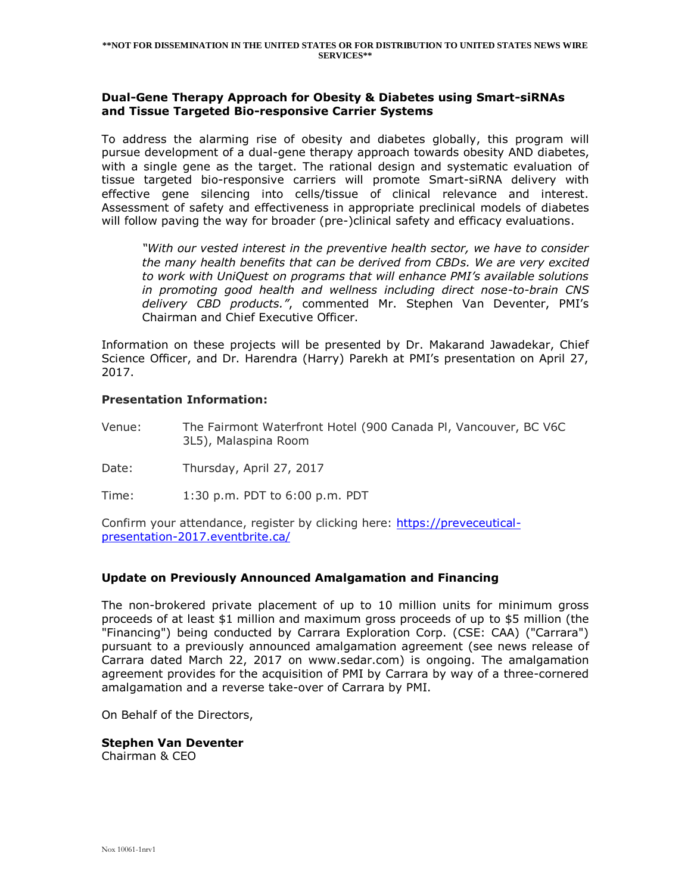#### **Dual-Gene Therapy Approach for Obesity & Diabetes using Smart-siRNAs and Tissue Targeted Bio-responsive Carrier Systems**

To address the alarming rise of obesity and diabetes globally, this program will pursue development of a dual-gene therapy approach towards obesity AND diabetes, with a single gene as the target. The rational design and systematic evaluation of tissue targeted bio-responsive carriers will promote Smart-siRNA delivery with effective gene silencing into cells/tissue of clinical relevance and interest. Assessment of safety and effectiveness in appropriate preclinical models of diabetes will follow paving the way for broader (pre-)clinical safety and efficacy evaluations.

*"With our vested interest in the preventive health sector, we have to consider the many health benefits that can be derived from CBDs. We are very excited to work with UniQuest on programs that will enhance PMI's available solutions in promoting good health and wellness including direct nose-to-brain CNS delivery CBD products."*, commented Mr. Stephen Van Deventer, PMI's Chairman and Chief Executive Officer.

Information on these projects will be presented by Dr. Makarand Jawadekar, Chief Science Officer, and Dr. Harendra (Harry) Parekh at PMI's presentation on April 27, 2017.

#### **Presentation Information:**

Venue: The Fairmont Waterfront Hotel (900 Canada Pl, Vancouver, BC V6C 3L5), Malaspina Room

Date: Thursday, April 27, 2017

Time: 1:30 p.m. PDT to 6:00 p.m. PDT

Confirm your attendance, register by clicking here: [https://preveceutical](https://preveceutical-presentation-2017.eventbrite.ca/)[presentation-2017.eventbrite.ca/](https://preveceutical-presentation-2017.eventbrite.ca/)

### **Update on Previously Announced Amalgamation and Financing**

The non-brokered private placement of up to 10 million units for minimum gross proceeds of at least \$1 million and maximum gross proceeds of up to \$5 million (the "Financing") being conducted by Carrara Exploration Corp. (CSE: CAA) ("Carrara") pursuant to a previously announced amalgamation agreement (see news release of Carrara dated March 22, 2017 on www.sedar.com) is ongoing. The amalgamation agreement provides for the acquisition of PMI by Carrara by way of a three-cornered amalgamation and a reverse take-over of Carrara by PMI.

On Behalf of the Directors,

# **Stephen Van Deventer**

Chairman & CEO